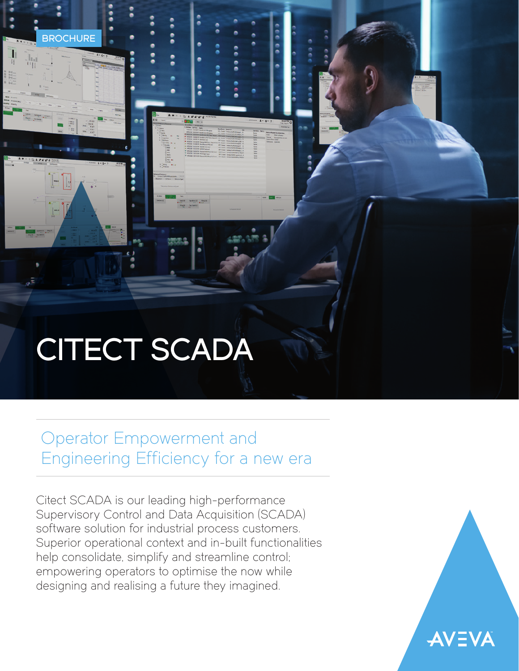# CITECT SCADA

**BROCHURE** 

## Operator Empowerment and Engineering Efficiency for a new era

Citect SCADA is our leading high-performance Supervisory Control and Data Acquisition (SCADA) software solution for industrial process customers. Superior operational context and in-built functionalities help consolidate, simplify and streamline control; empowering operators to optimise the now while designing and realising a future they imagined.

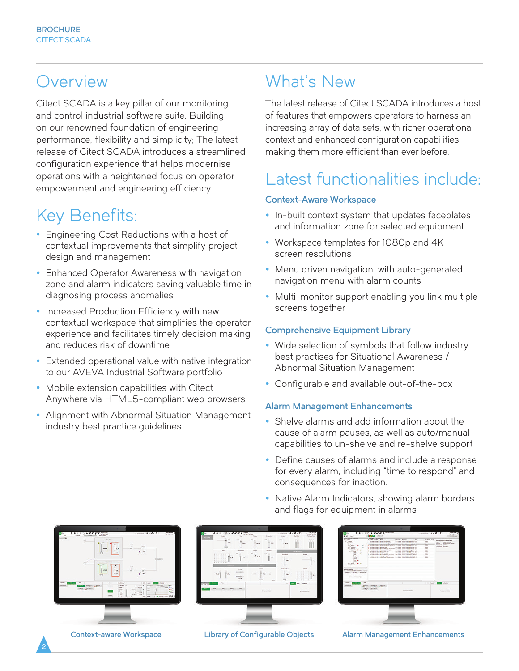### **Overview**

Citect SCADA is a key pillar of our monitoring and control industrial software suite. Building on our renowned foundation of engineering performance, flexibility and simplicity; The latest release of Citect SCADA introduces a streamlined configuration experience that helps modernise operations with a heightened focus on operator empowerment and engineering efficiency.

### Key Benefits:

- Engineering Cost Reductions with a host of contextual improvements that simplify project design and management
- Enhanced Operator Awareness with navigation zone and alarm indicators saving valuable time in diagnosing process anomalies
- Increased Production Efficiency with new contextual workspace that simplifies the operator experience and facilitates timely decision making and reduces risk of downtime
- Extended operational value with native integration to our AVEVA Industrial Software portfolio
- Mobile extension capabilities with Citect Anywhere via HTML5-compliant web browsers
- Alignment with Abnormal Situation Management industry best practice guidelines

### What's New

The latest release of Citect SCADA introduces a host of features that empowers operators to harness an increasing array of data sets, with richer operational context and enhanced configuration capabilities making them more efficient than ever before.

## Latest functionalities include:

### Context-Aware Workspace

- In-built context system that updates faceplates and information zone for selected equipment
- Workspace templates for 1080p and 4K screen resolutions
- Menu driven navigation, with auto-generated navigation menu with alarm counts
- Multi-monitor support enabling you link multiple screens together

### Comprehensive Equipment Library

- Wide selection of symbols that follow industry best practises for Situational Awareness / Abnormal Situation Management
- Configurable and available out-of-the-box

### Alarm Management Enhancements

- Shelve alarms and add information about the cause of alarm pauses, as well as auto/manual capabilities to un-shelve and re-shelve support
- Define causes of alarms and include a response for every alarm, including "time to respond" and consequences for inaction.
- Native Alarm Indicators, showing alarm borders and flags for equipment in alarms



2



|  | ibrary of Configurable Objects |  |  |
|--|--------------------------------|--|--|
|--|--------------------------------|--|--|



Context-aware Workspace Library of Configurable Objects Alarm Management Enhancements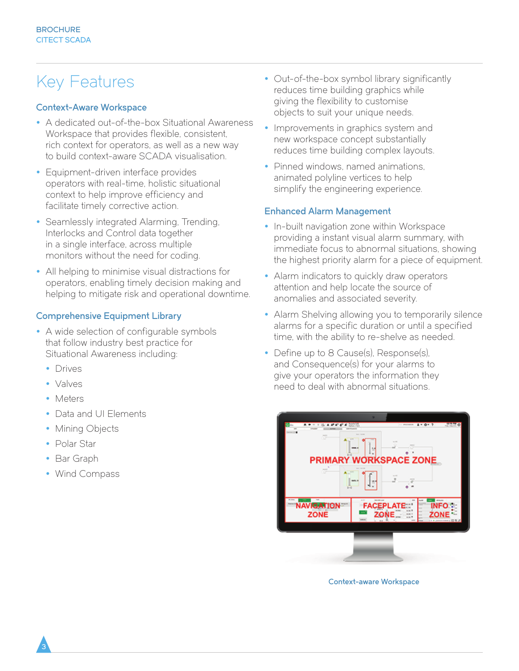### Key Features

### Context-Aware Workspace

- A dedicated out-of-the-box Situational Awareness Workspace that provides flexible, consistent, rich context for operators, as well as a new way to build context-aware SCADA visualisation.
- Equipment-driven interface provides operators with real-time, holistic situational context to help improve efficiency and facilitate timely corrective action.
- Seamlessly integrated Alarming, Trending, Interlocks and Control data together in a single interface, across multiple monitors without the need for coding.
- All helping to minimise visual distractions for operators, enabling timely decision making and helping to mitigate risk and operational downtime.

#### Comprehensive Equipment Library

- A wide selection of configurable symbols that follow industry best practice for Situational Awareness including:
	- Drives
	- Valves
	- Meters
	- Data and UI Elements
	- Mining Objects
	- Polar Star
	- Bar Graph

3

• Wind Compass

- Out-of-the-box symbol library significantly reduces time building graphics while giving the flexibility to customise objects to suit your unique needs.
- Improvements in graphics system and new workspace concept substantially reduces time building complex layouts.
- Pinned windows, named animations, animated polyline vertices to help simplify the engineering experience.

#### Enhanced Alarm Management

- In-built navigation zone within Workspace providing a instant visual alarm summary, with immediate focus to abnormal situations, showing the highest priority alarm for a piece of equipment.
- Alarm indicators to quickly draw operators attention and help locate the source of anomalies and associated severity.
- Alarm Shelving allowing you to temporarily silence alarms for a specific duration or until a specified time, with the ability to re-shelve as needed.
- Define up to 8 Cause(s), Response(s), and Consequence(s) for your alarms to give your operators the information they need to deal with abnormal situations.

| ۰<br><b>The Second</b><br>4.00.7<br>a.<br><b>SHOW</b><br>œ<br>$-1$<br>5<br><b>PRIMARY WORKSPACE ZONE</b><br>$\overline{\sigma}$<br>$-100$<br>ä<br><b>ANTISE</b><br><b>Auditor</b> , AL |                                                                 |  |  |
|----------------------------------------------------------------------------------------------------------------------------------------------------------------------------------------|-----------------------------------------------------------------|--|--|
| <b>Builder</b><br><b>NAVIGATION</b><br><b>ZONE</b>                                                                                                                                     | 1.11<br><b>Box 85 and</b><br>$-24$<br><b>FACEP</b><br>≂<br>ZONE |  |  |
|                                                                                                                                                                                        |                                                                 |  |  |

Context-aware Workspace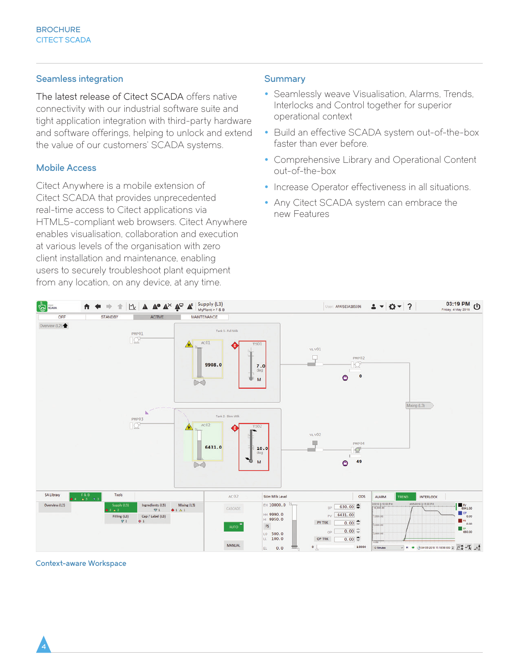#### Seamless integration

The latest release of Citect SCADA offers native connectivity with our industrial software suite and tight application integration with third-party hardware and software offerings, helping to unlock and extend the value of our customers' SCADA systems.

#### Mobile Access

Citect Anywhere is a mobile extension of Citect SCADA that provides unprecedented real-time access to Citect applications via HTML5-compliant web browsers. Citect Anywhere enables visualisation, collaboration and execution at various levels of the organisation with zero client installation and maintenance, enabling users to securely troubleshoot plant equipment from any location, on any device, at any time.

#### **Summary**

- Seamlessly weave Visualisation, Alarms, Trends, Interlocks and Control together for superior operational context
- Build an effective SCADA system out-of-the-box faster than ever before.
- Comprehensive Library and Operational Content out-of-the-box
- Increase Operator effectiveness in all situations.
- Any Citect SCADA system can embrace the new Features



Context-aware Workspace